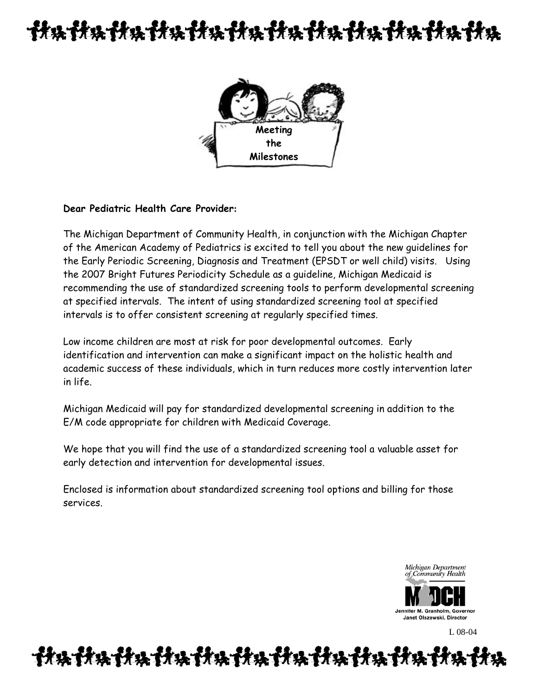# 计块计块计块计块计块计块计块计块计块计块计块



### **Dear Pediatric Health Care Provider:**

The Michigan Department of Community Health, in conjunction with the Michigan Chapter of the American Academy of Pediatrics is excited to tell you about the new guidelines for the Early Periodic Screening, Diagnosis and Treatment (EPSDT or well child) visits. Using the 2007 Bright Futures Periodicity Schedule as a guideline, Michigan Medicaid is recommending the use of standardized screening tools to perform developmental screening at specified intervals. The intent of using standardized screening tool at specified intervals is to offer consistent screening at regularly specified times.

Low income children are most at risk for poor developmental outcomes. Early identification and intervention can make a significant impact on the holistic health and academic success of these individuals, which in turn reduces more costly intervention later in life.

Michigan Medicaid will pay for standardized developmental screening in addition to the E/M code appropriate for children with Medicaid Coverage.

We hope that you will find the use of a standardized screening tool a valuable asset for early detection and intervention for developmental issues.

Enclosed is information about standardized screening tool options and billing for those services.

> Michigan Department of Community Health



L 08-04

##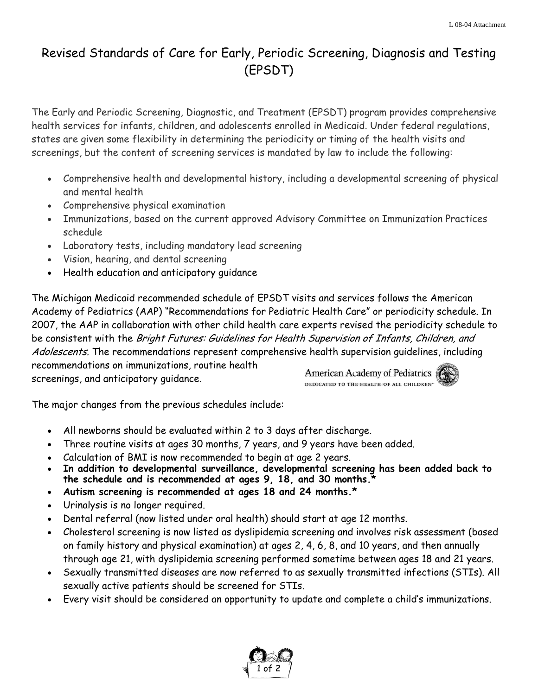### Revised Standards of Care for Early, Periodic Screening, Diagnosis and Testing (EPSDT)

The Early and Periodic Screening, Diagnostic, and Treatment (EPSDT) program provides comprehensive health services for infants, children, and adolescents enrolled in Medicaid. Under federal regulations, states are given some flexibility in determining the periodicity or timing of the health visits and screenings, but the content of screening services is mandated by law to include the following:

- Comprehensive health and developmental history, including a developmental screening of physical and mental health
- Comprehensive physical examination
- Immunizations, based on the current approved Advisory Committee on Immunization Practices schedule
- Laboratory tests, including mandatory lead screening
- Vision, hearing, and dental screening
- Health education and anticipatory guidance

The Michigan Medicaid recommended schedule of EPSDT visits and services follows the American Academy of Pediatrics (AAP) "Recommendations for Pediatric Health Care" or periodicity schedule. In 2007, the AAP in collaboration with other child health care experts revised the periodicity schedule to be consistent with the Bright Futures: Guidelines for Health Supervision of Infants, Children, and Adolescents. The recommendations represent comprehensive health supervision quidelines, including recommendations on immunizations, routine health

screenings, and anticipatory guidance.

American Academy of Pediatrics DEDICATED TO THE HEALTH OF ALL CHILDREN\*



The major changes from the previous schedules include:

- All newborns should be evaluated within 2 to 3 days after discharge.
- Three routine visits at ages 30 months, 7 years, and 9 years have been added.
- Calculation of BMI is now recommended to begin at age 2 years.
- **In addition to developmental surveillance, developmental screening has been added back to the schedule and is recommended at ages 9, 18, and 30 months.\***
- **Autism screening is recommended at ages 18 and 24 months.\***
- Urinalysis is no longer required.
- Dental referral (now listed under oral health) should start at age 12 months.
- Cholesterol screening is now listed as dyslipidemia screening and involves risk assessment (based on family history and physical examination) at ages 2, 4, 6, 8, and 10 years, and then annually through age 21, with dyslipidemia screening performed sometime between ages 18 and 21 years.
- Sexually transmitted diseases are now referred to as sexually transmitted infections (STIs). All sexually active patients should be screened for STIs.
- Every visit should be considered an opportunity to update and complete a child's immunizations.